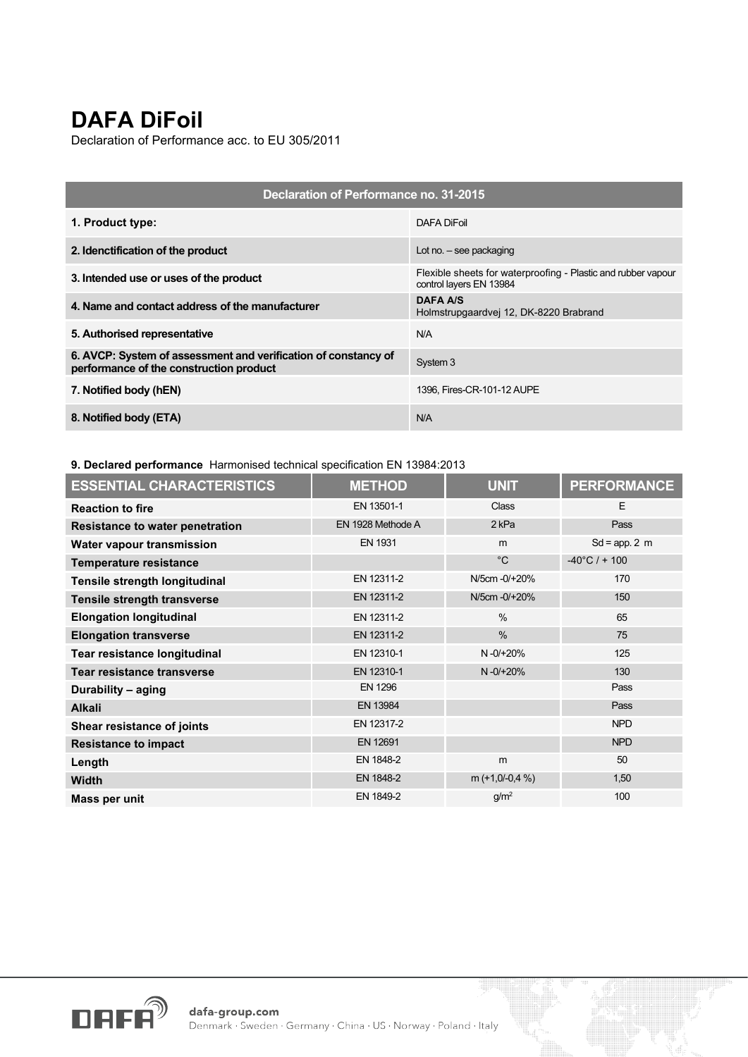## **DAFA DiFoil**

Declaration of Performance acc. to EU 305/2011

| Declaration of Performance no. 31-2015                                                                    |                                                                                          |  |  |
|-----------------------------------------------------------------------------------------------------------|------------------------------------------------------------------------------------------|--|--|
| 1. Product type:                                                                                          | DAFA DiFoil                                                                              |  |  |
| 2. Idenctification of the product                                                                         | Lot no. $-$ see packaging                                                                |  |  |
| 3. Intended use or uses of the product                                                                    | Flexible sheets for waterproofing - Plastic and rubber vapour<br>control layers EN 13984 |  |  |
| 4. Name and contact address of the manufacturer                                                           | <b>DAFA A/S</b><br>Holmstrupgaardvej 12, DK-8220 Brabrand                                |  |  |
| 5. Authorised representative                                                                              | N/A                                                                                      |  |  |
| 6. AVCP: System of assessment and verification of constancy of<br>performance of the construction product | System 3                                                                                 |  |  |
| 7. Notified body (hEN)                                                                                    | 1396, Fires-CR-101-12 AUPE                                                               |  |  |
| 8. Notified body (ETA)                                                                                    | N/A                                                                                      |  |  |

## **9. Declared performance** Harmonised technical specification EN 13984:2013

| <b>ESSENTIAL CHARACTERISTICS</b>       | <b>METHOD</b>     | <b>UNIT</b>      | <b>PERFORMANCE</b>      |
|----------------------------------------|-------------------|------------------|-------------------------|
| <b>Reaction to fire</b>                | EN 13501-1        | Class            | E                       |
| <b>Resistance to water penetration</b> | EN 1928 Methode A | 2 <sub>kPa</sub> | Pass                    |
| Water vapour transmission              | <b>EN 1931</b>    | m                | $Sd = app. 2 m$         |
| <b>Temperature resistance</b>          |                   | $^{\circ}C$      | $-40^{\circ}$ C / + 100 |
| Tensile strength longitudinal          | EN 12311-2        | N/5cm -0/+20%    | 170                     |
| Tensile strength transverse            | EN 12311-2        | N/5cm -0/+20%    | 150                     |
| <b>Elongation longitudinal</b>         | EN 12311-2        | $\frac{0}{0}$    | 65                      |
| <b>Elongation transverse</b>           | EN 12311-2        | $\frac{0}{0}$    | 75                      |
| Tear resistance longitudinal           | EN 12310-1        | $N - 0/ + 20%$   | 125                     |
| Tear resistance transverse             | EN 12310-1        | $N - 0/ + 20%$   | 130                     |
| Durability - aging                     | <b>EN 1296</b>    |                  | Pass                    |
| <b>Alkali</b>                          | EN 13984          |                  | Pass                    |
| Shear resistance of joints             | EN 12317-2        |                  | <b>NPD</b>              |
| <b>Resistance to impact</b>            | EN 12691          |                  | <b>NPD</b>              |
| Length                                 | EN 1848-2         | m                | 50                      |
| <b>Width</b>                           | EN 1848-2         | m $(+1,0/-0,4%)$ | 1,50                    |
| Mass per unit                          | EN 1849-2         | g/m <sup>2</sup> | 100                     |